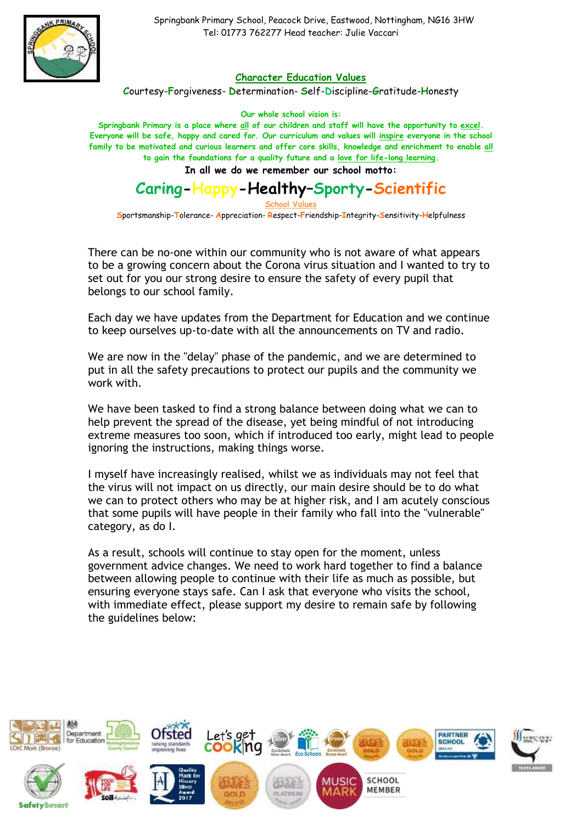

 Springbank Primary School, Peacock Drive, Eastwood, Nottingham, NG16 3HW Tel: 01773 762277 Head teacher: Julie Vaccari

## **Character Education Values**

**C**ourtesy-**F**orgiveness- **D**etermination- **S**elf-**D**iscipline-**G**ratitude-**H**onesty

**Our whole school vision is:**

**Springbank Primary is a place where all of our children and staff will have the opportunity to excel. Everyone will be safe, happy and cared for. Our curriculum and values will inspire everyone in the school family to be motivated and curious learners and offer core skills, knowledge and enrichment to enable all to gain the foundations for a quality future and a love for life-long learning.**

**In all we do we remember our school motto:**

## **Caring-Happy-Healthy–Sporty-Scientific School Values**

**S**portsmanship-**T**olerance- **A**ppreciation- **R**espect-**F**riendship-**I**ntegrity-**S**ensitivity-**H**elpfulness

There can be no-one within our community who is not aware of what appears to be a growing concern about the Corona virus situation and I wanted to try to set out for you our strong desire to ensure the safety of every pupil that belongs to our school family.

Each day we have updates from the Department for Education and we continue to keep ourselves up-to-date with all the announcements on TV and radio.

We are now in the "delay" phase of the pandemic, and we are determined to put in all the safety precautions to protect our pupils and the community we work with.

We have been tasked to find a strong balance between doing what we can to help prevent the spread of the disease, yet being mindful of not introducing extreme measures too soon, which if introduced too early, might lead to people ignoring the instructions, making things worse.

I myself have increasingly realised, whilst we as individuals may not feel that the virus will not impact on us directly, our main desire should be to do what we can to protect others who may be at higher risk, and I am acutely conscious that some pupils will have people in their family who fall into the "vulnerable" category, as do I.

As a result, schools will continue to stay open for the moment, unless government advice changes. We need to work hard together to find a balance between allowing people to continue with their life as much as possible, but ensuring everyone stays safe. Can I ask that everyone who visits the school, with immediate effect, please support my desire to remain safe by following the guidelines below: